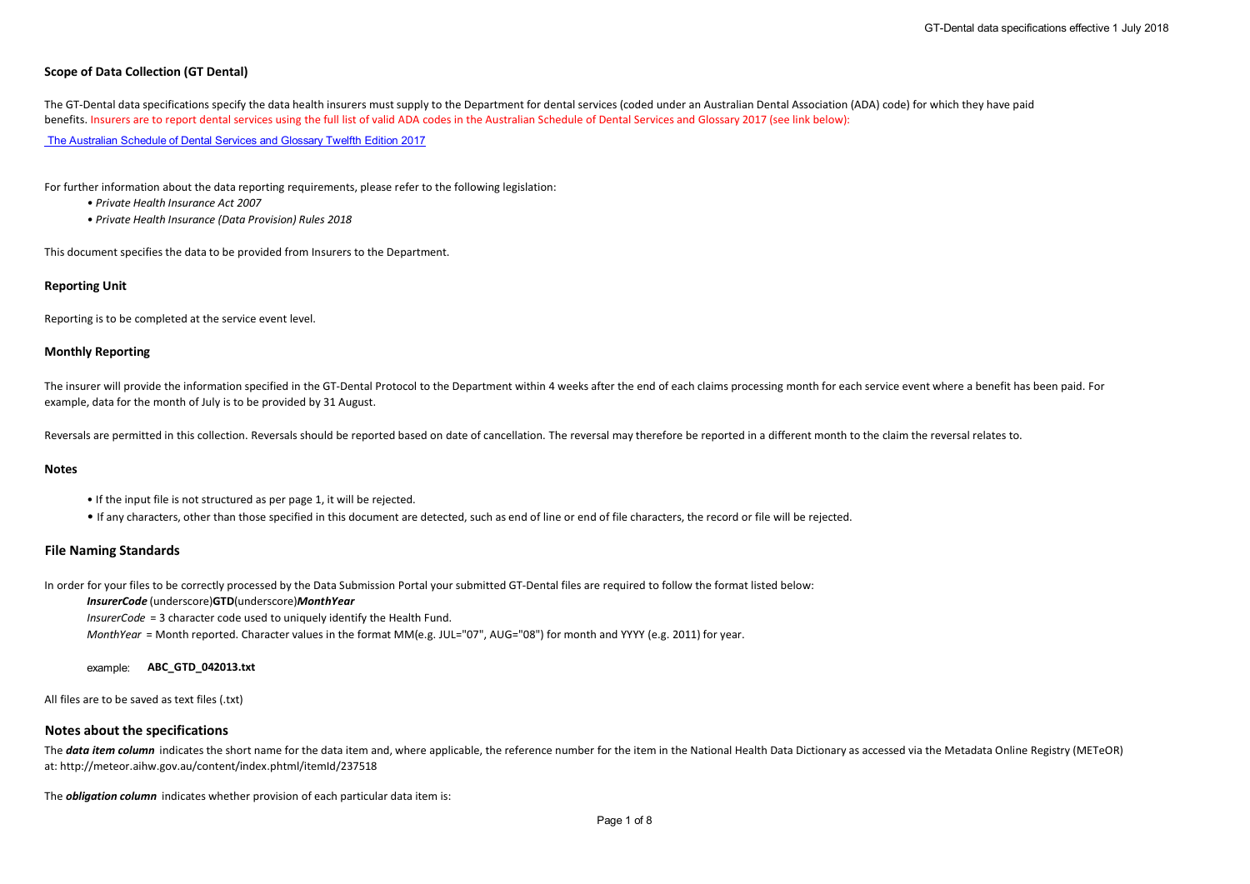### **Scope of Data Collection (GT Dental)**

The GT-Dental data specifications specify the data health insurers must supply to the Department for dental services (coded under an Australian Dental Association (ADA) code) for which they have paid benefits. Insurers are to report dental services using the full list of valid ADA codes in the Australian Schedule of Dental Services and Glossary 2017 (see link below):

The Australian Schedule of Dental Services and Glossary Twelfth Edition 2017

For further information about the data reporting requirements, please refer to the following legislation:

- *Private Health Insurance Act 2007*
- *Private Health Insurance (Data Provision) Rules 2018*

This document specifies the data to be provided from Insurers to the Department.

#### **Reporting Unit**

Reporting is to be completed at the service event level.

#### **Monthly Reporting**

The insurer will provide the information specified in the GT-Dental Protocol to the Department within 4 weeks after the end of each claims processing month for each service event where a benefit has been paid. For example, data for the month of July is to be provided by 31 August.

Reversals are permitted in this collection. Reversals should be reported based on date of cancellation. The reversal may therefore be reported in a different month to the claim the reversal relates to.

#### **Notes**

- If the input file is not structured as per page 1, it will be rejected.
- If any characters, other than those specified in this document are detected, such as end of line or end of file characters, the record or file will be rejected.

#### **File Naming Standards**

In order for your files to be correctly processed by the Data Submission Portal your submitted GT-Dental files are required to follow the format listed below:

### *InsurerCode* (underscore)**GTD**(underscore)*MonthYear*

*InsurerCode* = 3 character code used to uniquely identify the Health Fund.

*MonthYear* = Month reported. Character values in the format MM(e.g. JUL="07", AUG="08") for month and YYYY (e.g. 2011) for year.

### example: **ABC\_GTD\_042013.txt**

### All files are to be saved as text files (.txt)

## **Notes about the specifications**

The **data item column** indicates the short name for the data item and, where applicable, the reference number for the item in the National Health Data Dictionary as accessed via the Metadata Online Registry (METeOR) at: http://meteor.aihw.gov.au/content/index.phtml/itemId/237518

The *obligation column* indicates whether provision of each particular data item is: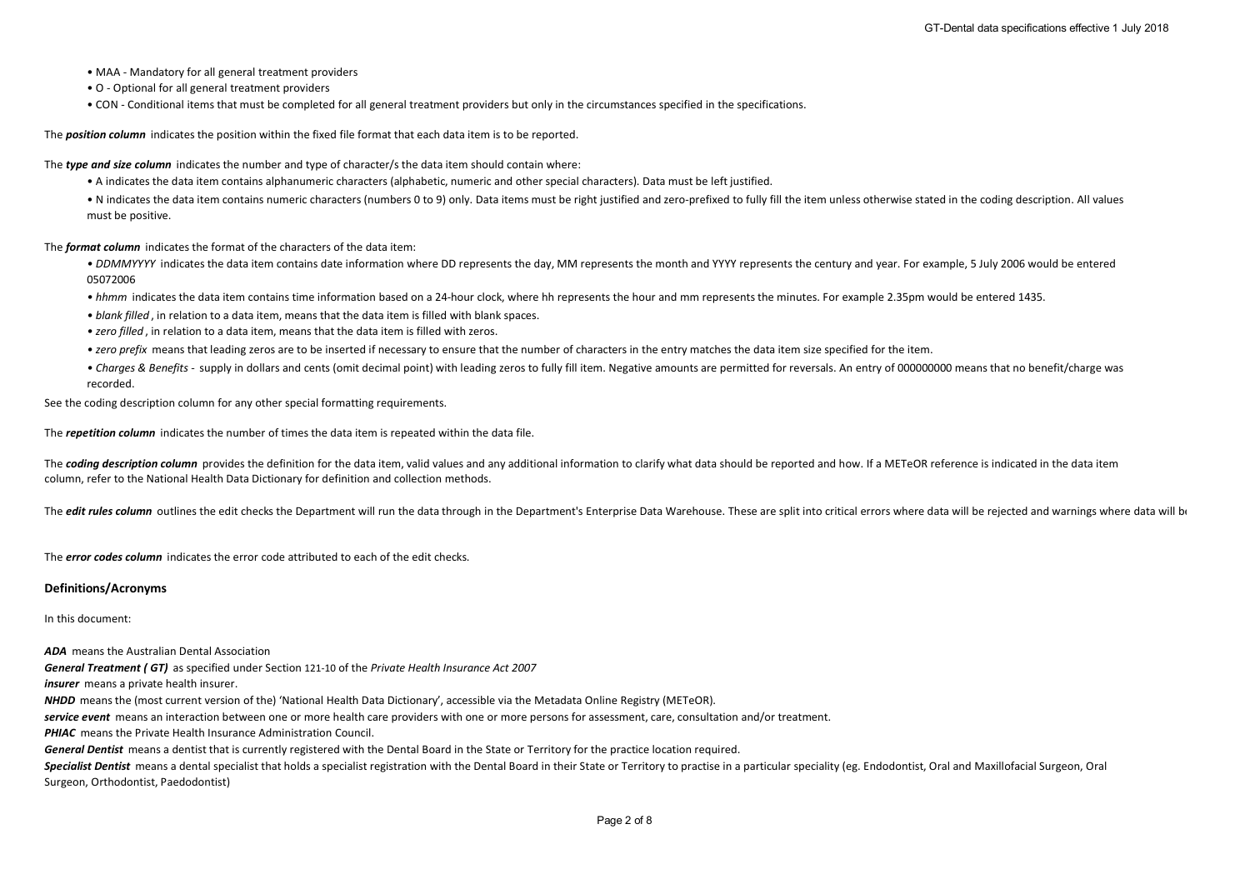- MAA Mandatory for all general treatment providers
- O Optional for all general treatment providers
- CON Conditional items that must be completed for all general treatment providers but only in the circumstances specified in the specifications.

The *position column* indicates the position within the fixed file format that each data item is to be reported.

The *type and size column* indicates the number and type of character/s the data item should contain where:

• A indicates the data item contains alphanumeric characters (alphabetic, numeric and other special characters). Data must be left justified.

• N indicates the data item contains numeric characters (numbers 0 to 9) only. Data items must be right justified and zero-prefixed to fully fill the item unless otherwise stated in the coding description. All values must be positive.

The *format column* indicates the format of the characters of the data item:

*• DDMMYYYY* indicates the data item contains date information where DD represents the day, MM represents the month and YYYY represents the century and year. For example, 5 July 2006 would be entered 05072006

*• hhmm* indicates the data item contains time information based on a 24-hour clock, where hh represents the hour and mm represents the minutes. For example 2.35pm would be entered 1435.

- *blank filled* , in relation to a data item, means that the data item is filled with blank spaces.
- *zero filled* , in relation to a data item, means that the data item is filled with zeros.
- *zero prefix* means that leading zeros are to be inserted if necessary to ensure that the number of characters in the entry matches the data item size specified for the item.
- *Charges & Benefits* supply in dollars and cents (omit decimal point) with leading zeros to fully fill item. Negative amounts are permitted for reversals. An entry of 000000000 means that no benefit/charge was recorded.

See the coding description column for any other special formatting requirements.

The *repetition column* indicates the number of times the data item is repeated within the data file.

The **coding description column** provides the definition for the data item, valid values and any additional information to clarify what data should be reported and how. If a METeOR reference is indicated in the data item column, refer to the National Health Data Dictionary for definition and collection methods.

The edit rules column outlines the edit checks the Department will run the data through in the Department's Enterprise Data Warehouse. These are split into critical errors where data will be rejected and warnings where dat

The *error codes column* indicates the error code attributed to each of the edit checks.

#### **Definitions/Acronyms**

In this document:

*ADA* means the Australian Dental Association

*General Treatment ( GT)* as specified under Section 121-10 of the *Private Health Insurance Act 2007*

*insurer* means a private health insurer.

*NHDD* means the (most current version of the) 'National Health Data Dictionary', accessible via the Metadata Online Registry (METeOR).

*service event* means an interaction between one or more health care providers with one or more persons for assessment, care, consultation and/or treatment.

**PHIAC** means the Private Health Insurance Administration Council.

*General Dentist* means a dentist that is currently registered with the Dental Board in the State or Territory for the practice location required.

Specialist Dentist means a dental specialist that holds a specialist registration with the Dental Board in their State or Territory to practise in a particular speciality (eg. Endodontist, Oral and Maxillofacial Surgeon, O Surgeon, Orthodontist, Paedodontist)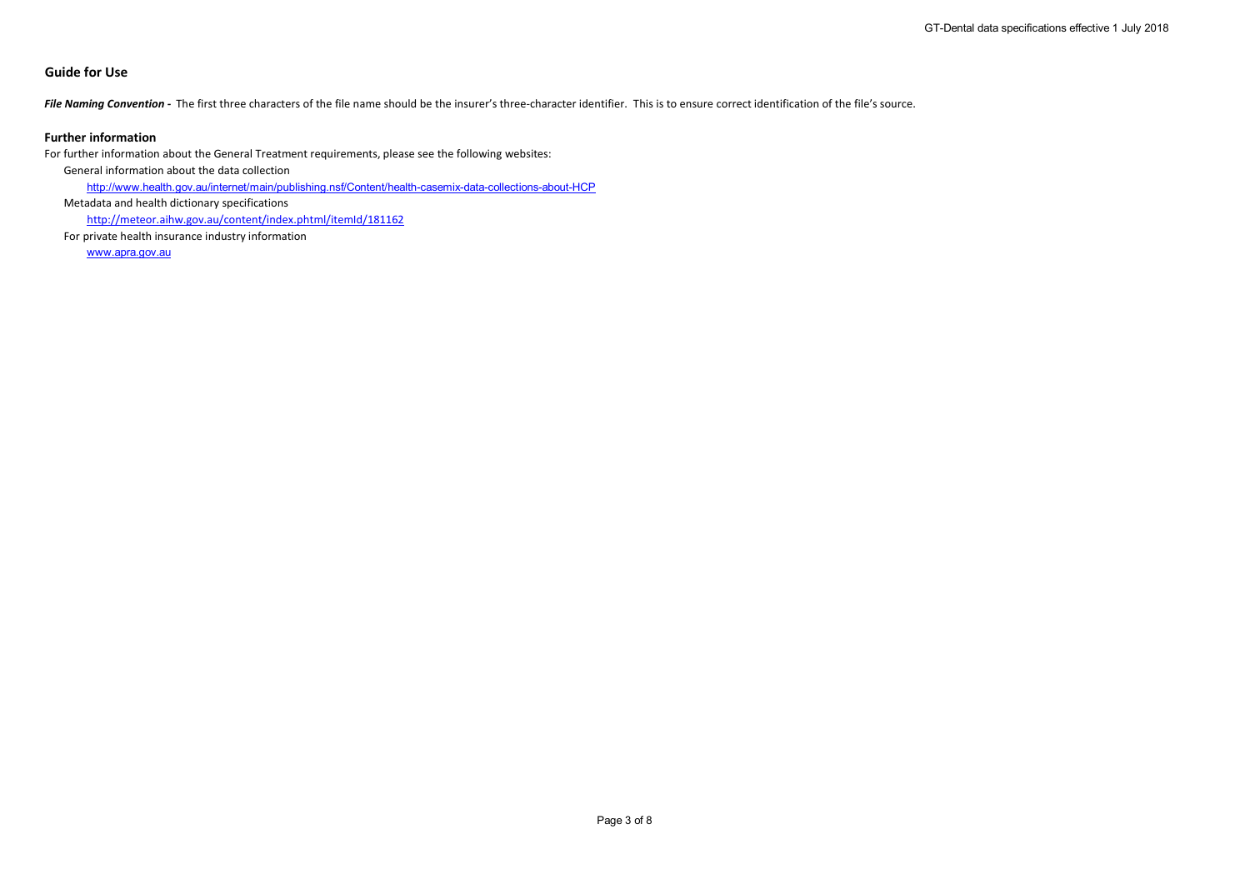# **Guide for Use**

File Naming Convention - The first three characters of the file name should be the insurer's three-character identifier. This is to ensure correct identification of the file's source.

### **Further information**

For further information about the General Treatment requirements, please see the following websites:

General information about the data collection

http://www.health.gov.au/internet/main/publishing.nsf/Content/health-casemix-data-collections-about-HCP

Metadata and health dictionary specifications

http://meteor.aihw.gov.au/content/index.phtml/itemId/181162

For private health insurance industry information

www.apra.gov.au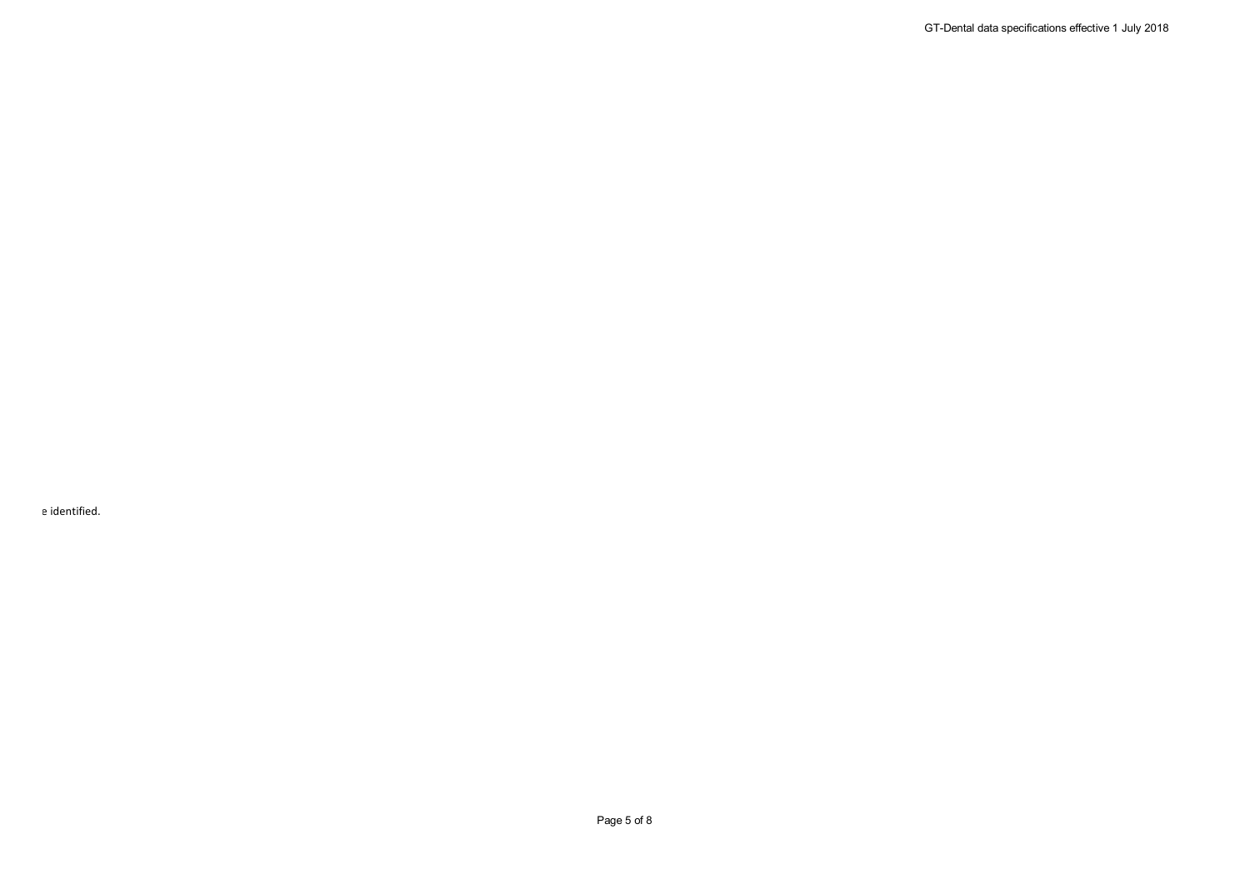e identified.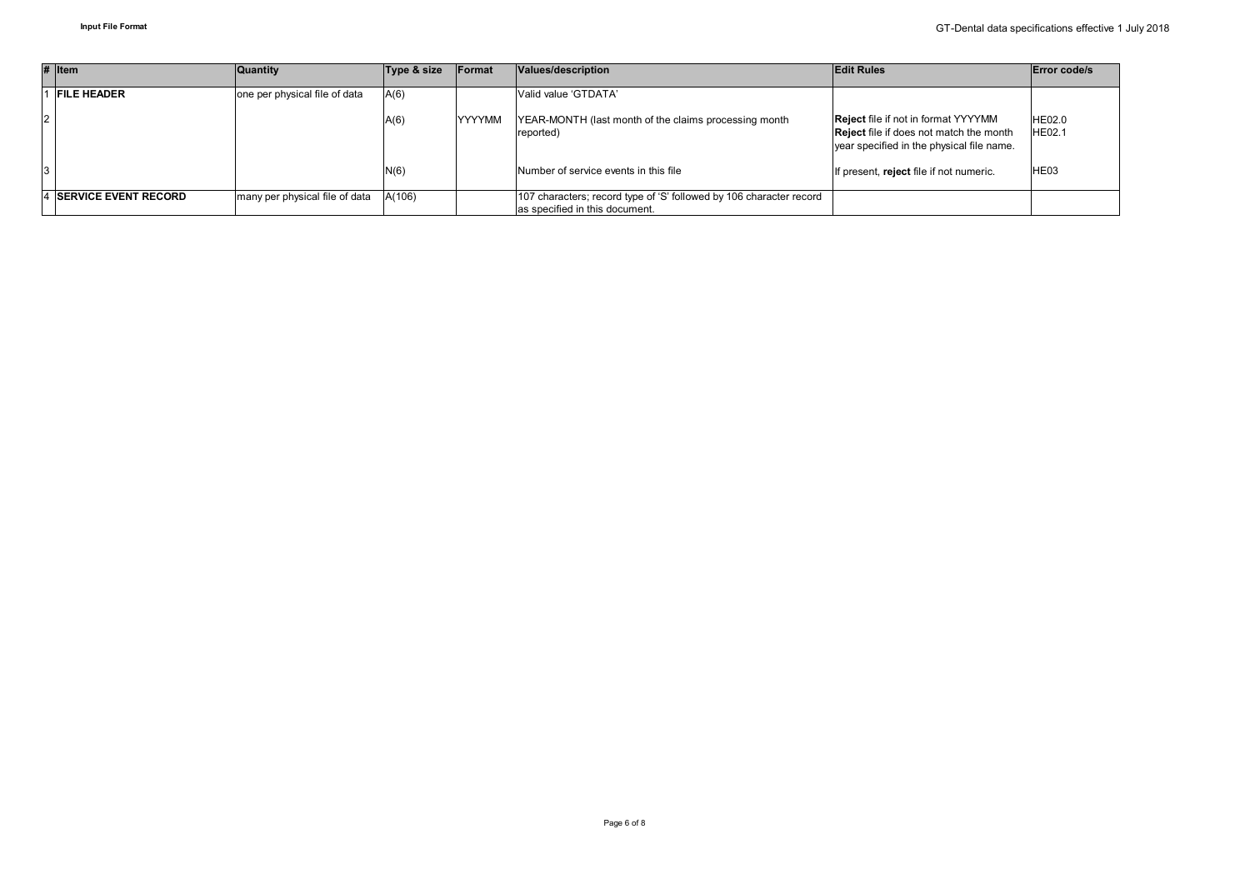|                | $#$ Item                       | <b>Quantity</b>                | Type & size | <b>IFormat</b> | Values/description                                                                                    | <b>Edit Rules</b>                                                                                                                         | <b>Error code/s</b>            |
|----------------|--------------------------------|--------------------------------|-------------|----------------|-------------------------------------------------------------------------------------------------------|-------------------------------------------------------------------------------------------------------------------------------------------|--------------------------------|
|                | <b>ILE HEADER</b>              | one per physical file of data  | A(6)        |                | Valid value 'GTDATA'                                                                                  |                                                                                                                                           |                                |
| $\overline{2}$ |                                |                                | A(6)        | <b>YYYYMM</b>  | YEAR-MONTH (last month of the claims processing month<br>reported)                                    | <b>Reject file if not in format YYYYMM</b><br><b>Reject</b> file if does not match the month<br>year specified in the physical file name. | <b>HE02.0</b><br><b>HE02.1</b> |
|                |                                |                                | N(6)        |                | Number of service events in this file                                                                 | If present, reject file if not numeric.                                                                                                   | HE03                           |
|                | <b>4 ISERVICE EVENT RECORD</b> | many per physical file of data | A(106)      |                | 107 characters; record type of 'S' followed by 106 character record<br>as specified in this document. |                                                                                                                                           |                                |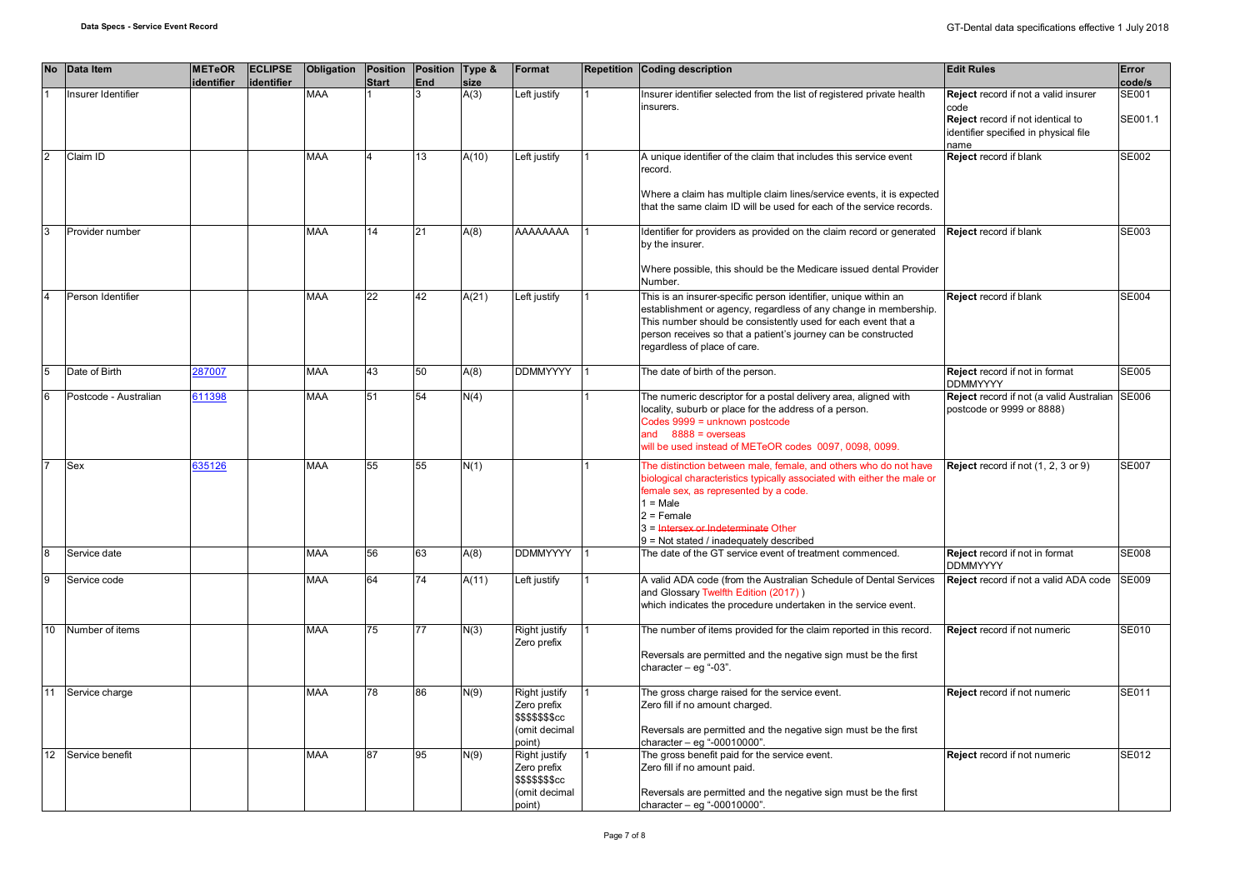|                 | No Data Item          | <b>METeOR</b><br>identifier | <b>ECLIPSE</b><br>identifier | Obligation Position Position Type & | <b>Start</b> | <b>End</b>   | size  | Format                                                                      | Repetition Coding description                                                                                                                                                                                                                                                                          | <b>Edit Rules</b>                                                                                                                  | Error<br>code/s  |
|-----------------|-----------------------|-----------------------------|------------------------------|-------------------------------------|--------------|--------------|-------|-----------------------------------------------------------------------------|--------------------------------------------------------------------------------------------------------------------------------------------------------------------------------------------------------------------------------------------------------------------------------------------------------|------------------------------------------------------------------------------------------------------------------------------------|------------------|
|                 | Insurer Identifier    |                             |                              | <b>MAA</b>                          |              | $\mathbf{B}$ | A(3)  | Left justify                                                                | Insurer identifier selected from the list of registered private health<br>insurers.                                                                                                                                                                                                                    | Reject record if not a valid insurer<br>code<br>Reject record if not identical to<br>identifier specified in physical file<br>name | SE001<br>SE001.1 |
| $\overline{2}$  | Claim ID              |                             |                              | <b>MAA</b>                          |              | 13           | A(10) | Left justify                                                                | A unique identifier of the claim that includes this service event<br>record.<br>Where a claim has multiple claim lines/service events, it is expected<br>that the same claim ID will be used for each of the service records.                                                                          | Reject record if blank                                                                                                             | <b>SE002</b>     |
|                 | Provider number       |                             |                              | <b>MAA</b>                          | 14           | 21           | A(8)  | AAAAAAAA                                                                    | Identifier for providers as provided on the claim record or generated<br>by the insurer.<br>Where possible, this should be the Medicare issued dental Provider<br>Number.                                                                                                                              | Reject record if blank                                                                                                             | <b>SE003</b>     |
|                 | Person Identifier     |                             |                              | <b>MAA</b>                          | 22           | 42           | A(21) | Left justify                                                                | This is an insurer-specific person identifier, unique within an<br>establishment or agency, regardless of any change in membership.<br>This number should be consistently used for each event that a<br>person receives so that a patient's journey can be constructed<br>regardless of place of care. | Reject record if blank                                                                                                             | <b>SE004</b>     |
|                 | Date of Birth         | 287007                      |                              | <b>MAA</b>                          | 43           | 50           | A(8)  | <b>DDMMYYYY</b>                                                             | The date of birth of the person.                                                                                                                                                                                                                                                                       | Reject record if not in format<br><b>DDMMYYYY</b>                                                                                  | <b>SE005</b>     |
| 6               | Postcode - Australian | 611398                      |                              | <b>MAA</b>                          | 51           | 54           | N(4)  |                                                                             | The numeric descriptor for a postal delivery area, aligned with<br>locality, suburb or place for the address of a person.<br>Codes 9999 = unknown postcode<br>and $8888 = 0$ overseas<br>will be used instead of METeOR codes 0097, 0098, 0099.                                                        | Reject record if not (a valid Australian<br>postcode or 9999 or 8888)                                                              | <b>SE006</b>     |
|                 | Sex                   | 35126                       |                              | <b>MAA</b>                          | 55           | 55           | N(1)  |                                                                             | The distinction between male, female, and others who do not have<br>biological characteristics typically associated with either the male or<br>female sex, as represented by a code.<br>$1 = Male$<br>$2$ = Female<br>3 = Intersex or Indeterminate Other<br>9 = Not stated / inadequately described   | Reject record if not (1, 2, 3 or 9)                                                                                                | <b>SE007</b>     |
| R               | Service date          |                             |                              | <b>MAA</b>                          | 56           | 63           | A(8)  | <b>DDMMYYYY</b>                                                             | The date of the GT service event of treatment commenced.                                                                                                                                                                                                                                               | Reject record if not in format<br><b>DDMMYYYY</b>                                                                                  | <b>SE008</b>     |
| 9               | Service code          |                             |                              | MAA                                 | 64           | 74           | A(11) | Left justify                                                                | A valid ADA code (from the Australian Schedule of Dental Services<br>and Glossary Twelfth Edition (2017))<br>which indicates the procedure undertaken in the service event.                                                                                                                            | Reject record if not a valid ADA code                                                                                              | <b>SE009</b>     |
| 10              | Number of items       |                             |                              | <b>MAA</b>                          | 75           | 77           | N(3)  | Right justify<br>Zero prefix                                                | The number of items provided for the claim reported in this record.<br>Reversals are permitted and the negative sign must be the first<br>character - eg "-03".                                                                                                                                        | Reject record if not numeric                                                                                                       | <b>SE010</b>     |
| 11              | Service charge        |                             |                              | MAA                                 | 78           | 86           | N(9)  | Right justify<br>Zero prefix<br>\$\$\$\$\$\$\$cc<br>(omit decimal<br>point) | The gross charge raised for the service event.<br>Zero fill if no amount charged.<br>Reversals are permitted and the negative sign must be the first<br>character - eq "-00010000".                                                                                                                    | Reject record if not numeric                                                                                                       | SE011            |
| 12 <sup>°</sup> | Service benefit       |                             |                              | <b>MAA</b>                          | 87           | 95           | N(9)  | Right justify<br>Zero prefix<br>\$\$\$\$\$\$\$cc<br>(omit decimal<br>point) | The gross benefit paid for the service event.<br>Zero fill if no amount paid.<br>Reversals are permitted and the negative sign must be the first<br>character - eg "-00010000".                                                                                                                        | Reject record if not numeric                                                                                                       | SE012            |